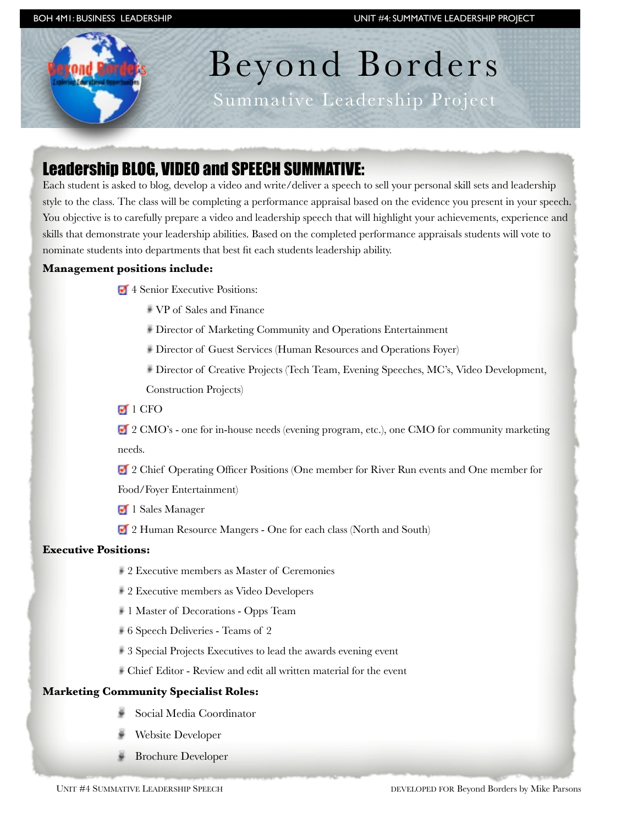# Beyond Borders

Summative Leadership Project

## Leadership BLOG, VIDEO and SPEECH SUMMATIVE:

Each student is asked to blog, develop a video and write/deliver a speech to sell your personal skill sets and leadership style to the class. The class will be completing a performance appraisal based on the evidence you present in your speech. You objective is to carefully prepare a video and leadership speech that will highlight your achievements, experience and skills that demonstrate your leadership abilities. Based on the completed performance appraisals students will vote to nominate students into departments that best fit each students leadership ability.

#### **Management positions include:**

- 4 Senior Executive Positions:
	- VP of Sales and Finance
	- Director of Marketing Community and Operations Entertainment
	- Director of Guest Services (Human Resources and Operations Foyer)
	- Director of Creative Projects (Tech Team, Evening Speeches, MC's, Video Development, Construction Projects)
- $\blacksquare$  1 CFO

 2 CMO's - one for in-house needs (evening program, etc.), one CMO for community marketing needs.

<sup>2</sup> Chief Operating Officer Positions (One member for River Run events and One member for

Food/Foyer Entertainment)

- <sup>1</sup> Sales Manager
- <sup>2</sup> Human Resource Mangers One for each class (North and South)

#### **Executive Positions:**

- 2 Executive members as Master of Ceremonies
- 2 Executive members as Video Developers
- 1 Master of Decorations Opps Team
- 6 Speech Deliveries Teams of 2
- 3 Special Projects Executives to lead the awards evening event
- Chief Editor Review and edit all written material for the event

#### **Marketing Community Specialist Roles:**

- Social Media Coordinator
- Website Developer
- Brochure Developer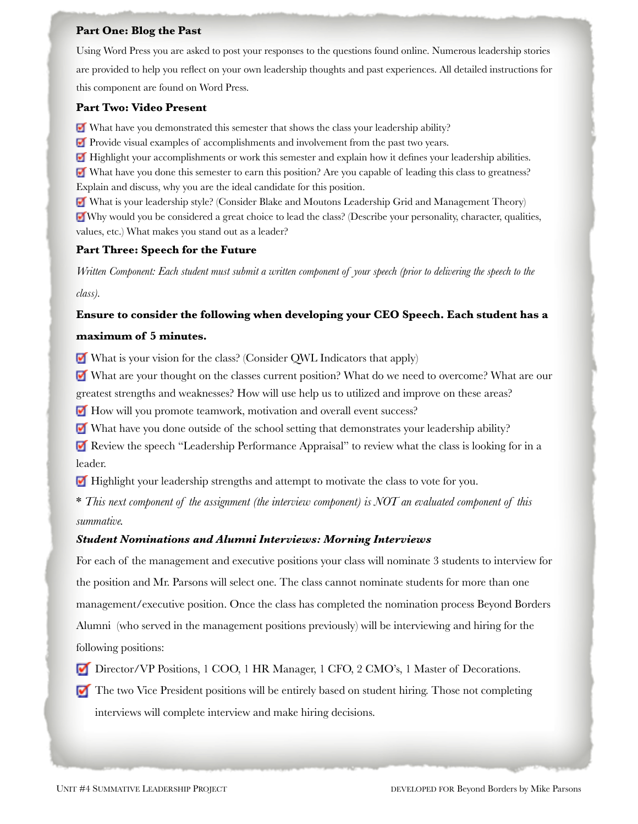#### **Part One: Blog the Past**

Using Word Press you are asked to post your responses to the questions found online. Numerous leadership stories are provided to help you reflect on your own leadership thoughts and past experiences. All detailed instructions for this component are found on Word Press.

#### **Part Two: Video Present**

What have you demonstrated this semester that shows the class your leadership ability?

Provide visual examples of accomplishments and involvement from the past two years.

**Highlight your accomplishments or work this semester and explain how it defines your leadership abilities.** 

 What have you done this semester to earn this position? Are you capable of leading this class to greatness? Explain and discuss, why you are the ideal candidate for this position.

What is your leadership style? (Consider Blake and Moutons Leadership Grid and Management Theory) Why would you be considered a great choice to lead the class? (Describe your personality, character, qualities, values, etc.) What makes you stand out as a leader?

#### **Part Three: Speech for the Future**

*Written Component: Each student must submit a written component of your speech (prior to delivering the speech to the class).* 

#### **Ensure to consider the following when developing your CEO Speech. Each student has a**

#### **maximum of 5 minutes.**

What is your vision for the class? (Consider QWL Indicators that apply)

 What are your thought on the classes current position? What do we need to overcome? What are our greatest strengths and weaknesses? How will use help us to utilized and improve on these areas?

How will you promote teamwork, motivation and overall event success?

What have you done outside of the school setting that demonstrates your leadership ability?

Review the speech "Leadership Performance Appraisal" to review what the class is looking for in a leader.

 $\blacksquare$  Highlight your leadership strengths and attempt to motivate the class to vote for you.

\* *This next component of the assignment (the interview component) is NOT an evaluated component of this summative.*

#### *Student Nominations and Alumni Interviews: Morning Interviews*

For each of the management and executive positions your class will nominate 3 students to interview for the position and Mr. Parsons will select one. The class cannot nominate students for more than one management/executive position. Once the class has completed the nomination process Beyond Borders Alumni (who served in the management positions previously) will be interviewing and hiring for the following positions:

Director/VP Positions, 1 COO, 1 HR Manager, 1 CFO, 2 CMO's, 1 Master of Decorations. ⊽

The two Vice President positions will be entirely based on student hiring. Those not completing interviews will complete interview and make hiring decisions.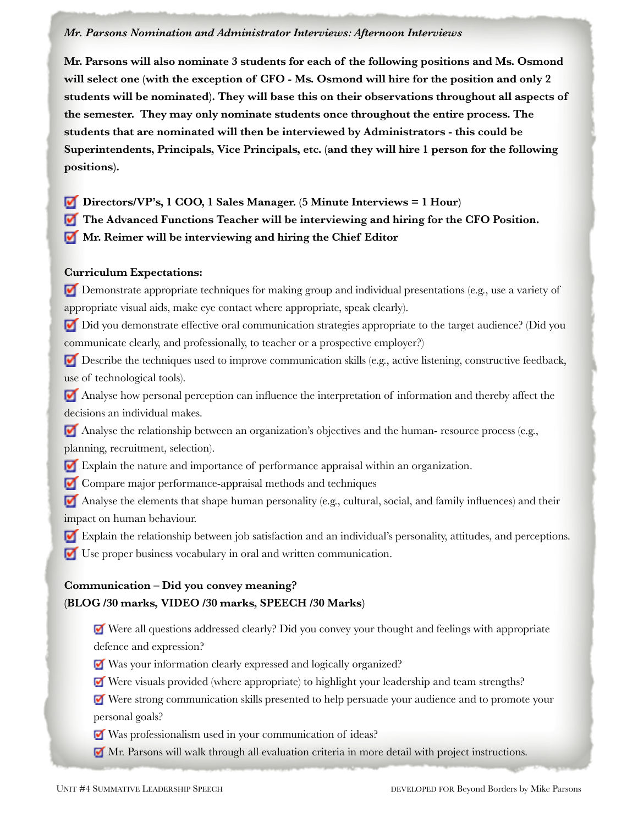#### *Mr. Parsons Nomination and Administrator Interviews: Afternoon Interviews*

**Mr. Parsons will also nominate 3 students for each of the following positions and Ms. Osmond will select one (with the exception of CFO - Ms. Osmond will hire for the position and only 2 students will be nominated). They will base this on their observations throughout all aspects of the semester. They may only nominate students once throughout the entire process. The students that are nominated will then be interviewed by Administrators - this could be Superintendents, Principals, Vice Principals, etc. (and they will hire 1 person for the following positions).** 

- **Directors/VP's, 1 COO, 1 Sales Manager. (5 Minute Interviews = 1 Hour)**
- **The Advanced Functions Teacher will be interviewing and hiring for the CFO Position.**
- **Mr. Reimer will be interviewing and hiring the Chief Editor**

#### **Curriculum Expectations:**

Demonstrate appropriate techniques for making group and individual presentations (e.g., use a variety of appropriate visual aids, make eye contact where appropriate, speak clearly).

Did you demonstrate effective oral communication strategies appropriate to the target audience? (Did you communicate clearly, and professionally, to teacher or a prospective employer?)

Describe the techniques used to improve communication skills (e.g., active listening, constructive feedback, use of technological tools).

 Analyse how personal perception can influence the interpretation of information and thereby affect the decisions an individual makes.

 Analyse the relationship between an organization's objectives and the human- resource process (e.g., planning, recruitment, selection).

- Explain the nature and importance of performance appraisal within an organization.
- **Compare major performance-appraisal methods and techniques**

 Analyse the elements that shape human personality (e.g., cultural, social, and family influences) and their impact on human behaviour.

- Explain the relationship between job satisfaction and an individual's personality, attitudes, and perceptions.
- Use proper business vocabulary in oral and written communication.

### **Communication – Did you convey meaning? (BLOG /30 marks, VIDEO /30 marks, SPEECH /30 Marks)**

 Were all questions addressed clearly? Did you convey your thought and feelings with appropriate defence and expression?

- Was your information clearly expressed and logically organized?
- Were visuals provided (where appropriate) to highlight your leadership and team strengths?

Were strong communication skills presented to help persuade your audience and to promote your personal goals?

- Was professionalism used in your communication of ideas?
- Mr. Parsons will walk through all evaluation criteria in more detail with project instructions.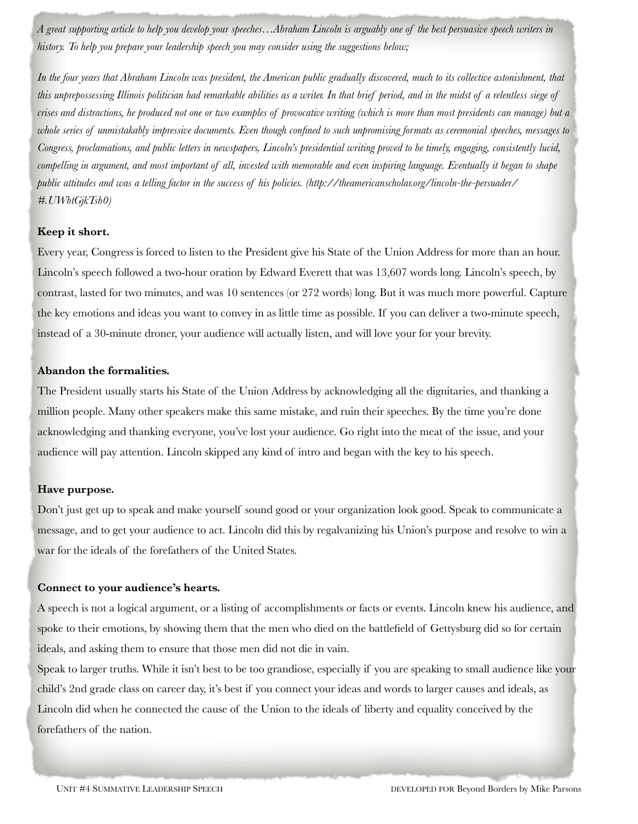*A great supporting article to help you develop your speeches…Abraham Lincoln is arguably one of the best persuasive speech writers in history. To help you prepare your leadership speech you may consider using the suggestions below;*

*In the four years that Abraham Lincoln was president, the American public gradually discovered, much to its collective astonishment, that this unprepossessing Illinois politician had remarkable abilities as a writer. In that brief period, and in the midst of a relentless siege of crises and distractions, he produced not one or two examples of provocative writing (which is more than most presidents can manage) but a whole series of unmistakably impressive documents. Even though confined to such unpromising formats as ceremonial speeches, messages to Congress, proclamations, and public letters in newspapers, Lincoln's presidential writing proved to be timely, engaging, consistently lucid, compelling in argument, and most important of all, invested with memorable and even inspiring language. Eventually it began to shape public attitudes and was a telling factor in the success of his policies. (http://theamericanscholar.org/lincoln-the-persuader/ #.UWbtGjkTsb0)* 

#### **Keep it short.**

Every year, Congress is forced to listen to the President give his State of the Union Address for more than an hour. Lincoln's speech followed a two-hour oration by [Edward Everett](http://rover.ebay.com/rover/1/711-53200-19255-0/1?toolid=10029&campid=CAMPAIGNID&customid=CUSTOMID&catId=267&type=2&ext=400444488692&item=400444488692) that was 13,607 words long. Lincoln's speech, by contrast, lasted for two minutes, and was 10 sentences (or 272 words) long. But it was much more powerful. Capture the key emotions and ideas you want to convey in as little time as possible. If you can deliver a two-minute speech, instead of a 30-minute droner, your audience will actually listen, and will love your for your brevity.

#### **Abandon the formalities.**

The President usually starts his State of the Union Address by acknowledging all the dignitaries, and thanking a million people. Many other speakers make this same mistake, and ruin their speeches. By the time you're done acknowledging and thanking everyone, you've lost your audience. Go right into the meat of the issue, and your audience will pay attention. Lincoln skipped any kind of intro and began with the key to his speech.

#### **Have purpose.**

Don't just get up to speak and make yourself sound good or your organization look good. Speak to communicate a message, and to get your audience to act. Lincoln did this by regalvanizing his Union's purpose and resolve to win a war for the ideals of the forefathers of the United States.

#### **Connect to your audience's hearts.**

A speech is not a logical argument, or a listing of accomplishments or facts or events. Lincoln knew his audience, and spoke to their emotions, by showing them that the men who died on the battlefield of Gettysburg did so for certain ideals, and asking them to ensure that those men did not die in vain.

Speak to larger truths. While it isn't best to be too grandiose, especially if you are speaking to small audience like your child's 2nd grade class on [career](http://www.lifehack.org/tbwc) day, it's best if you connect your ideas and words to larger causes and ideals, as Lincoln did when he connected the cause of the Union to the ideals of liberty and equality conceived by the forefathers of the nation.